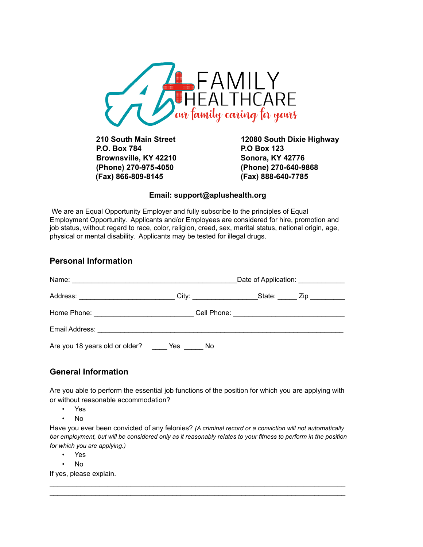

**P.O. Box 784 P.O Box 123 Brownsville, KY 42210 Sonora, KY 42776 (Phone) 270-975-4050 (Phone) 270-640-9868 (Fax) 866-809-8145 (Fax) 888-640-7785**

**210 South Main Street 12080 South Dixie Highway**

### **Email: support@aplushealth.org**

We are an Equal Opportunity Employer and fully subscribe to the principles of Equal Employment Opportunity. Applicants and/or Employees are considered for hire, promotion and job status, without regard to race, color, religion, creed, sex, marital status, national origin, age, physical or mental disability. Applicants may be tested for illegal drugs.

## **Personal Information**

|                                | Date of Application: _____________ |  |  |  |
|--------------------------------|------------------------------------|--|--|--|
|                                |                                    |  |  |  |
|                                |                                    |  |  |  |
|                                |                                    |  |  |  |
| Are you 18 years old or older? | Yes<br>No                          |  |  |  |

# **General Information**

Are you able to perform the essential job functions of the position for which you are applying with or without reasonable accommodation?

- Yes
- No

Have you ever been convicted of any felonies? *(A criminal record or a conviction will not automatically bar employment, but will be considered only as it reasonably relates to your fitness to perform in the position for which you are applying.)*

 $\mathcal{L}_\text{max}$  , and the set of the set of the set of the set of the set of the set of the set of the set of the set of the set of the set of the set of the set of the set of the set of the set of the set of the set of the  $\mathcal{L}_\text{max}$  , and the set of the set of the set of the set of the set of the set of the set of the set of the set of the set of the set of the set of the set of the set of the set of the set of the set of the set of the

- Yes
- No

If yes, please explain.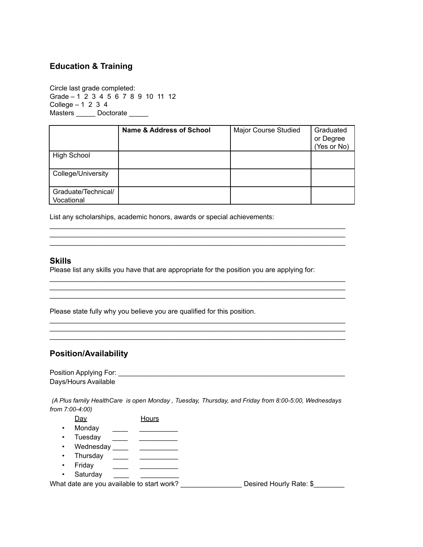## **Education & Training**

Circle last grade completed: Grade – 1 2 3 4 5 6 7 8 9 10 11 12 College  $-1$  2 3 4 Masters \_\_\_\_\_\_\_ Doctorate \_\_\_\_\_\_

|                                   | Name & Address of School | Major Course Studied | Graduated<br>or Degree<br>(Yes or No) |
|-----------------------------------|--------------------------|----------------------|---------------------------------------|
| <b>High School</b>                |                          |                      |                                       |
| College/University                |                          |                      |                                       |
| Graduate/Technical/<br>Vocational |                          |                      |                                       |

 $\mathcal{L}_\text{max}$  , and the set of the set of the set of the set of the set of the set of the set of the set of the set of the set of the set of the set of the set of the set of the set of the set of the set of the set of the  $\mathcal{L}_\text{max}$  , and the set of the set of the set of the set of the set of the set of the set of the set of the set of the set of the set of the set of the set of the set of the set of the set of the set of the set of the

 $\mathcal{L}_\text{max}$  , and the set of the set of the set of the set of the set of the set of the set of the set of the set of the set of the set of the set of the set of the set of the set of the set of the set of the set of the  $\mathcal{L}_\text{max}$  , and the set of the set of the set of the set of the set of the set of the set of the set of the set of the set of the set of the set of the set of the set of the set of the set of the set of the set of the  $\mathcal{L}_\text{max}$  , and the set of the set of the set of the set of the set of the set of the set of the set of the set of the set of the set of the set of the set of the set of the set of the set of the set of the set of the

 $\mathcal{L}_\text{max}$  , and the set of the set of the set of the set of the set of the set of the set of the set of the set of the set of the set of the set of the set of the set of the set of the set of the set of the set of the  $\mathcal{L}_\text{max}$  , and the set of the set of the set of the set of the set of the set of the set of the set of the set of the set of the set of the set of the set of the set of the set of the set of the set of the set of the  $\mathcal{L}_\text{max}$  , and the set of the set of the set of the set of the set of the set of the set of the set of the set of the set of the set of the set of the set of the set of the set of the set of the set of the set of the

List any scholarships, academic honors, awards or special achievements:

#### **Skills**

Please list any skills you have that are appropriate for the position you are applying for:

Please state fully why you believe you are qualified for this position.

## **Position/Availability**

Position Applying For: \_\_\_\_\_\_\_\_\_\_\_\_\_\_\_\_\_\_\_\_\_\_\_\_\_\_\_\_\_\_\_\_\_\_\_\_\_\_\_\_\_\_\_\_\_\_\_\_\_\_\_\_\_\_\_\_\_\_\_ Days/Hours Available

*(A Plus family HealthCare is open Monday , Tuesday, Thursday, and Friday from 8:00-5:00, Wednesdays from 7:00-4:00)*

- Day Hours
- Monday \_\_\_\_\_ \_\_\_\_\_\_\_\_
- Tuesday \_\_\_\_ \_\_ \_\_\_\_\_\_\_\_
- Wednesday \_\_\_\_ \_\_ \_\_\_\_\_\_\_\_\_
- Thursday \_\_\_\_ \_\_\_ \_\_\_\_\_\_\_\_\_
- Friday <u>\_\_\_\_\_</u> \_\_\_\_\_\_\_\_\_\_\_\_
- Saturday

What date are you available to start work? Desired Hourly Rate: \$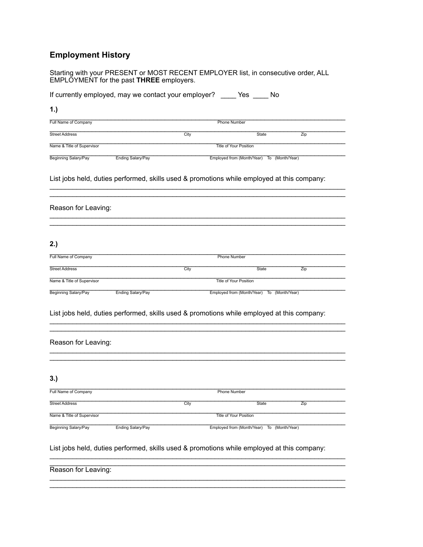# **Employment History**

|                             |                          |      | If currently employed, may we contact your employer? ______ Yes _____ No                   |                 |
|-----------------------------|--------------------------|------|--------------------------------------------------------------------------------------------|-----------------|
| 1.)                         |                          |      |                                                                                            |                 |
| Full Name of Company        | <b>Phone Number</b>      |      |                                                                                            |                 |
| <b>Street Address</b>       |                          | City | State                                                                                      | Zip             |
| Name & Title of Supervisor  |                          |      | <b>Title of Your Position</b>                                                              |                 |
| Beginning Salary/Pay        | Ending Salary/Pay        |      | Employed from (Month/Year) To (Month/Year)                                                 |                 |
|                             |                          |      | List jobs held, duties performed, skills used & promotions while employed at this company: |                 |
| Reason for Leaving:         |                          |      |                                                                                            |                 |
| 2.)                         |                          |      |                                                                                            |                 |
| Full Name of Company        |                          |      | <b>Phone Number</b>                                                                        |                 |
| <b>Street Address</b>       |                          | City | State                                                                                      | Zip             |
| Name & Title of Supervisor  |                          |      | <b>Title of Your Position</b>                                                              |                 |
| Beginning Salary/Pay        | <b>Ending Salary/Pay</b> |      | Employed from (Month/Year)                                                                 | To (Month/Year) |
|                             |                          |      | List jobs held, duties performed, skills used & promotions while employed at this company: |                 |
| Reason for Leaving:         |                          |      |                                                                                            |                 |
| 3.)                         |                          |      |                                                                                            |                 |
| Full Name of Company        |                          |      | <b>Phone Number</b>                                                                        |                 |
| <b>Street Address</b>       |                          | City | State                                                                                      | Zip             |
| Name & Title of Supervisor  |                          |      | <b>Title of Your Position</b>                                                              |                 |
| <b>Beginning Salary/Pay</b> | <b>Ending Salary/Pay</b> |      | Employed from (Month/Year) To (Month/Year)                                                 |                 |
|                             |                          |      | List jobs held, duties performed, skills used & promotions while employed at this company: |                 |
| Reason for Leaving:         |                          |      |                                                                                            |                 |